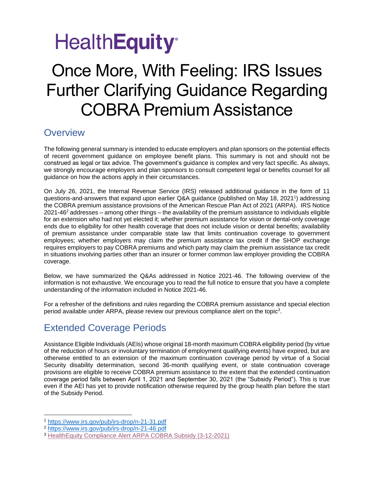# **HealthEquity**<sup>®</sup>

### Once More, With Feeling: IRS Issues Further Clarifying Guidance Regarding COBRA Premium Assistance

#### **Overview**

The following general summary is intended to educate employers and plan sponsors on the potential effects of recent government guidance on employee benefit plans. This summary is not and should not be construed as legal or tax advice. The government's guidance is complex and very fact specific. As always, we strongly encourage employers and plan sponsors to consult competent legal or benefits counsel for all guidance on how the actions apply in their circumstances.

On July 26, 2021, the Internal Revenue Service (IRS) released additional guidance in the form of 11 questions-and-answers that expand upon earlier Q&A guidance (published on May 18, 2021<sup>1</sup>) addressing the COBRA premium assistance provisions of the American Rescue Plan Act of 2021 (ARPA). IRS Notice  $2021-46<sup>2</sup>$  addresses – among other things – the availability of the premium assistance to individuals eligible for an extension who had not yet elected it; whether premium assistance for vision or dental-only coverage ends due to eligibility for other health coverage that does not include vision or dental benefits; availability of premium assistance under comparable state law that limits continuation coverage to government employees; whether employers may claim the premium assistance tax credit if the SHOP exchange requires employers to pay COBRA premiums and which party may claim the premium assistance tax credit in situations involving parties other than an insurer or former common law employer providing the COBRA coverage.

Below, we have summarized the Q&As addressed in Notice 2021-46. The following overview of the information is not exhaustive. We encourage you to read the full notice to ensure that you have a complete understanding of the information included in Notice 2021-46.

For a refresher of the definitions and rules regarding the COBRA premium assistance and special election period available under ARPA, please review our previous compliance alert on the topic<sup>3</sup>.

### Extended Coverage Periods

Assistance Eligible Individuals (AEIs) whose original 18-month maximum COBRA eligibility period (by virtue of the reduction of hours or involuntary termination of employment qualifying events) have expired, but are otherwise entitled to an extension of the maximum continuation coverage period by virtue of a Social Security disability determination, second 36-month qualifying event, or state continuation coverage provisions are eligible to receive COBRA premium assistance to the extent that the extended continuation coverage period falls between April 1, 2021 and September 30, 2021 (the "Subsidy Period"). This is true even if the AEI has yet to provide notification otherwise required by the group health plan before the start of the Subsidy Period.

<sup>1</sup> <https://www.irs.gov/pub/irs-drop/n-21-31.pdf>

<sup>2</sup> <https://www.irs.gov/pub/irs-drop/n-21-46.pdf>

<sup>3</sup> [HealthEquity Compliance Alert ARPA COBRA Subsidy \(3-12-2021\)](https://www.healthequity.com/doclib/compliance/Compliance_Alert_American_Rescue_Plan_Act_COBRA_Subsidy_Final_3.12.2021.pdf)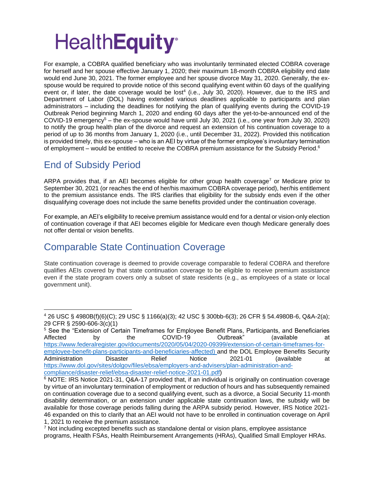# **HealthEquity®**

For example, a COBRA qualified beneficiary who was involuntarily terminated elected COBRA coverage for herself and her spouse effective January 1, 2020; their maximum 18-month COBRA eligibility end date would end June 30, 2021. The former employee and her spouse divorce May 31, 2020. Generally, the exspouse would be required to provide notice of this second qualifying event within 60 days of the qualifying event or, if later, the date coverage would be lost<sup>4</sup> (i.e., July 30, 2020). However, due to the IRS and Department of Labor (DOL) having extended various deadlines applicable to participants and plan administrators – including the deadlines for notifying the plan of qualifying events during the COVID-19 Outbreak Period beginning March 1, 2020 and ending 60 days after the yet-to-be-announced end of the COVID-19 emergency<sup>5</sup> – the ex-spouse would have until July 30, 2021 (i.e., one year from July 30, 2020) to notify the group health plan of the divorce and request an extension of his continuation coverage to a period of up to 36 months from January 1, 2020 (i.e., until December 31, 2022). Provided this notification is provided timely, this ex-spouse – who is an AEI by virtue of the former employee's involuntary termination of employment – would be entitled to receive the COBRA premium assistance for the Subsidy Period.<sup>6</sup>

### End of Subsidy Period

ARPA provides that, if an AEI becomes eligible for other group health coverage<sup>7</sup> or Medicare prior to September 30, 2021 (or reaches the end of her/his maximum COBRA coverage period), her/his entitlement to the premium assistance ends. The IRS clarifies that eligibility for the subsidy ends even if the other disqualifying coverage does not include the same benefits provided under the continuation coverage.

For example, an AEI's eligibility to receive premium assistance would end for a dental or vision-only election of continuation coverage if that AEI becomes eligible for Medicare even though Medicare generally does not offer dental or vision benefits.

### Comparable State Continuation Coverage

State continuation coverage is deemed to provide coverage comparable to federal COBRA and therefore qualifies AEIs covered by that state continuation coverage to be eligible to receive premium assistance even if the state program covers only a subset of state residents (e.g., as employees of a state or local government unit).

<sup>4</sup> 26 USC § 4980B(f)(6)(C); 29 USC § 1166(a)(3); 42 USC § 300bb-6(3); 26 CFR § 54.4980B-6, Q&A-2(a); 29 CFR § 2590-606-3(c)(1)

<sup>5</sup> See the "Extension of Certain Timeframes for Employee Benefit Plans, Participants, and Beneficiaries Affected by the COVID-19 Outbreak" (available at [https://www.federalregister.gov/documents/2020/05/04/2020-09399/extension-of-certain-timeframes-for](https://www.federalregister.gov/documents/2020/05/04/2020-09399/extension-of-certain-timeframes-for-employee-benefit-plans-participants-and-beneficiaries-affected)[employee-benefit-plans-participants-and-beneficiaries-affected\)](https://www.federalregister.gov/documents/2020/05/04/2020-09399/extension-of-certain-timeframes-for-employee-benefit-plans-participants-and-beneficiaries-affected) and the DOL Employee Benefits Security Administration Disaster Relief Notice 2021-01 (available at [https://www.dol.gov/sites/dolgov/files/ebsa/employers-and-advisers/plan-administration-and](https://www.dol.gov/sites/dolgov/files/ebsa/employers-and-advisers/plan-administration-and-compliance/disaster-relief/ebsa-disaster-relief-notice-2021-01.pdf)[compliance/disaster-relief/ebsa-disaster-relief-notice-2021-01.pdf\)](https://www.dol.gov/sites/dolgov/files/ebsa/employers-and-advisers/plan-administration-and-compliance/disaster-relief/ebsa-disaster-relief-notice-2021-01.pdf)

<sup>&</sup>lt;sup>6</sup> NOTE: IRS Notice 2021-31, Q&A-17 provided that, if an individual is originally on continuation coverage by virtue of an involuntary termination of employment or reduction of hours and has subsequently remained on continuation coverage due to a second qualifying event, such as a divorce, a Social Security 11-month disability determination, or an extension under applicable state continuation laws, the subsidy will be available for those coverage periods falling during the ARPA subsidy period. However, IRS Notice 2021- 46 expanded on this to clarify that an AEI would not have to be enrolled in continuation coverage on April 1, 2021 to receive the premium assistance.

 $7$  Not including excepted benefits such as standalone dental or vision plans, employee assistance programs, Health FSAs, Health Reimbursement Arrangements (HRAs), Qualified Small Employer HRAs.